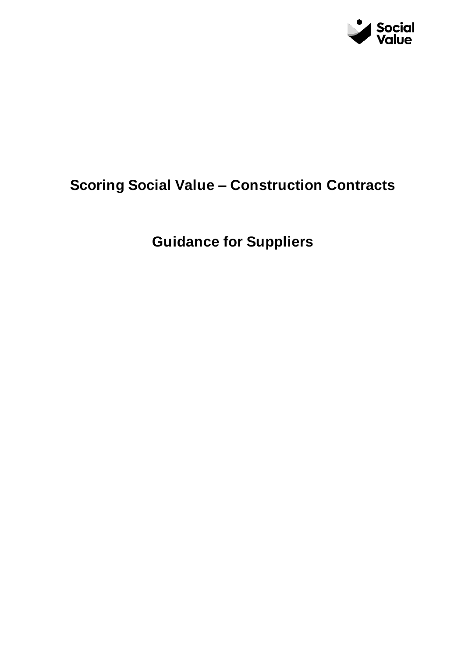

# **Scoring Social Value – Construction Contracts**

**Guidance for Suppliers**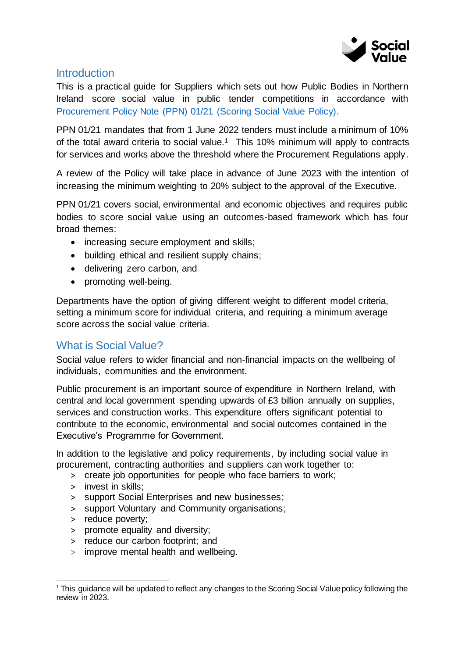

#### **Introduction**

This is a practical guide for Suppliers which sets out how Public Bodies in Northern Ireland score social value in public tender competitions in accordance with [Procurement Policy Note \(PPN\) 01/21 \(Scoring Social Value Policy\).](https://www.finance-ni.gov.uk/publications/ppn-0121-scoring-social-value)

PPN 01/21 mandates that from 1 June 2022 tenders must include a minimum of 10% of the total award criteria to social value.<sup>1</sup> This 10% minimum will apply to contracts for services and works above the threshold where the Procurement Regulations apply.

A review of the Policy will take place in advance of June 2023 with the intention of increasing the minimum weighting to 20% subject to the approval of the Executive.

PPN 01/21 covers social, environmental and economic objectives and requires public bodies to score social value using an outcomes-based framework which has four broad themes:

- increasing secure employment and skills;
- building ethical and resilient supply chains;
- delivering zero carbon, and
- promoting well-being.

Departments have the option of giving different weight to different model criteria, setting a minimum score for individual criteria, and requiring a minimum average score across the social value criteria.

## What is Social Value?

Social value refers to wider financial and non-financial impacts on the wellbeing of individuals, communities and the environment.

Public procurement is an important source of expenditure in Northern Ireland, with central and local government spending upwards of £3 billion annually on supplies, services and construction works. This expenditure offers significant potential to contribute to the economic, environmental and social outcomes contained in the Executive's Programme for Government.

In addition to the legislative and policy requirements, by including social value in procurement, contracting authorities and suppliers can work together to:

- > create job opportunities for people who face barriers to work;
- > invest in skills;
- > support Social Enterprises and new businesses;
- > support Voluntary and Community organisations;
- > reduce poverty;

j

- > promote equality and diversity;
- > reduce our carbon footprint; and
- > improve mental health and wellbeing.

<sup>1</sup> This guidance will be updated to reflect any changes to the Scoring Social Value policy following the review in 2023.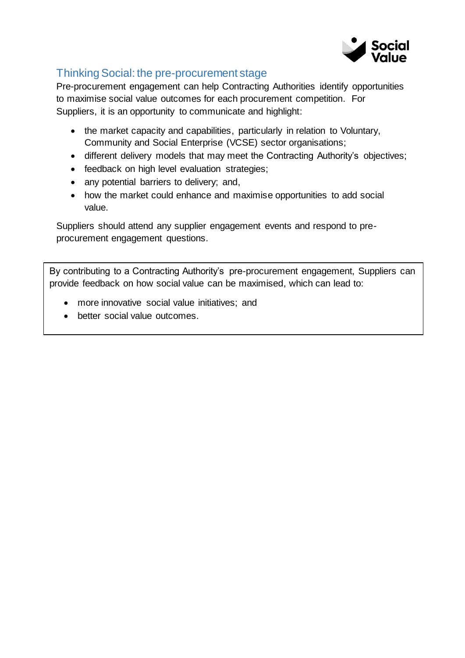

## Thinking Social: the pre-procurement stage

Pre-procurement engagement can help Contracting Authorities identify opportunities to maximise social value outcomes for each procurement competition. For Suppliers, it is an opportunity to communicate and highlight:

- the market capacity and capabilities, particularly in relation to Voluntary, Community and Social Enterprise (VCSE) sector organisations;
- different delivery models that may meet the Contracting Authority's objectives;
- feedback on high level evaluation strategies;
- any potential barriers to delivery; and,
- how the market could enhance and maximise opportunities to add social value.

Suppliers should attend any supplier engagement events and respond to preprocurement engagement questions.

By contributing to a Contracting Authority's pre-procurement engagement, Suppliers can provide feedback on how social value can be maximised, which can lead to:

- more innovative social value initiatives; and
- better social value outcomes.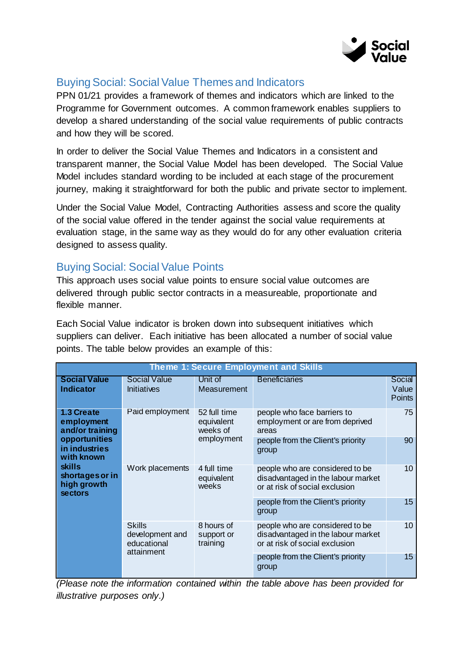

## Buying Social: Social Value Themes and Indicators

PPN 01/21 provides a framework of themes and indicators which are linked to the Programme for Government outcomes. A common framework enables suppliers to develop a shared understanding of the social value requirements of public contracts and how they will be scored.

In order to deliver the Social Value Themes and Indicators in a consistent and transparent manner, the Social Value Model has been developed. The Social Value Model includes standard wording to be included at each stage of the procurement journey, making it straightforward for both the public and private sector to implement.

Under the Social Value Model, Contracting Authorities assess and score the quality of the social value offered in the tender against the social value requirements at evaluation stage, in the same way as they would do for any other evaluation criteria designed to assess quality.

## Buying Social: Social Value Points

This approach uses social value points to ensure social value outcomes are delivered through public sector contracts in a measureable, proportionate and flexible manner.

Each Social Value indicator is broken down into subsequent initiatives which suppliers can deliver. Each initiative has been allocated a number of social value points. The table below provides an example of this:

| <b>Theme 1: Secure Employment and Skills</b>                                                                                                                     |                                                               |                                        |                                                                                                         |                                  |
|------------------------------------------------------------------------------------------------------------------------------------------------------------------|---------------------------------------------------------------|----------------------------------------|---------------------------------------------------------------------------------------------------------|----------------------------------|
| <b>Social Value</b><br><b>Indicator</b>                                                                                                                          | <b>Social Value</b><br><b>Initiatives</b>                     | Unit of<br>Measurement                 | <b>Beneficiaries</b>                                                                                    | Social<br>Value<br><b>Points</b> |
| 1.3 Create<br>employment<br>and/or training<br>opportunities<br>in industries<br>with known<br><b>skills</b><br>shortages or in<br>high growth<br><b>sectors</b> | Paid employment                                               | 52 full time<br>equivalent<br>weeks of | people who face barriers to<br>employment or are from deprived<br>areas                                 | 75                               |
|                                                                                                                                                                  |                                                               | employment                             | people from the Client's priority<br>group                                                              | 90                               |
|                                                                                                                                                                  | Work placements                                               | 4 full time<br>equivalent<br>weeks     | people who are considered to be<br>disadvantaged in the labour market<br>or at risk of social exclusion | 10                               |
|                                                                                                                                                                  |                                                               |                                        | people from the Client's priority<br>group                                                              | 15                               |
|                                                                                                                                                                  | <b>Skills</b><br>development and<br>educational<br>attainment | 8 hours of<br>support or<br>training   | people who are considered to be<br>disadvantaged in the labour market<br>or at risk of social exclusion | 10                               |
|                                                                                                                                                                  |                                                               |                                        | people from the Client's priority<br>group                                                              | 15                               |

*(Please note the information contained within the table above has been provided for illustrative purposes only.)*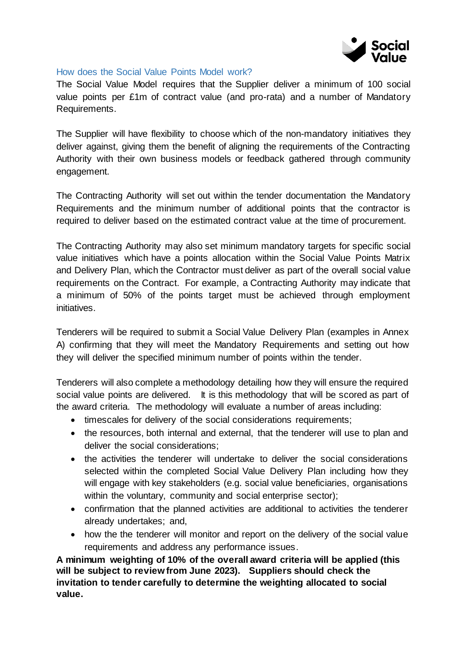

#### How does the Social Value Points Model work?

The Social Value Model requires that the Supplier deliver a minimum of 100 social value points per £1m of contract value (and pro-rata) and a number of Mandatory Requirements.

The Supplier will have flexibility to choose which of the non-mandatory initiatives they deliver against, giving them the benefit of aligning the requirements of the Contracting Authority with their own business models or feedback gathered through community engagement.

The Contracting Authority will set out within the tender documentation the Mandatory Requirements and the minimum number of additional points that the contractor is required to deliver based on the estimated contract value at the time of procurement.

The Contracting Authority may also set minimum mandatory targets for specific social value initiatives which have a points allocation within the Social Value Points Matrix and Delivery Plan, which the Contractor must deliver as part of the overall social value requirements on the Contract. For example, a Contracting Authority may indicate that a minimum of 50% of the points target must be achieved through employment initiatives.

Tenderers will be required to submit a Social Value Delivery Plan (examples in Annex A) confirming that they will meet the Mandatory Requirements and setting out how they will deliver the specified minimum number of points within the tender.

Tenderers will also complete a methodology detailing how they will ensure the required social value points are delivered. It is this methodology that will be scored as part of the award criteria. The methodology will evaluate a number of areas including:

- timescales for delivery of the social considerations requirements;
- the resources, both internal and external, that the tenderer will use to plan and deliver the social considerations;
- the activities the tenderer will undertake to deliver the social considerations selected within the completed Social Value Delivery Plan including how they will engage with key stakeholders (e.g. social value beneficiaries, organisations within the voluntary, community and social enterprise sector);
- confirmation that the planned activities are additional to activities the tenderer already undertakes; and,
- how the the tenderer will monitor and report on the delivery of the social value requirements and address any performance issues.

**A minimum weighting of 10% of the overall award criteria will be applied (this will be subject to review from June 2023). Suppliers should check the invitation to tender carefully to determine the weighting allocated to social value.**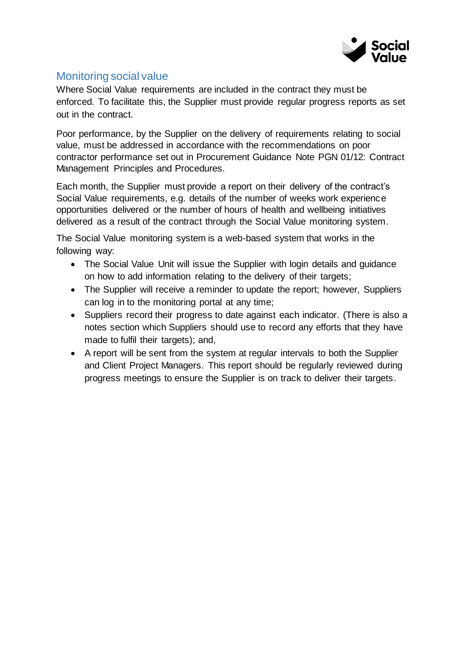

# Monitoring social value

Where Social Value requirements are included in the contract they must be enforced. To facilitate this, the Supplier must provide regular progress reports as set out in the contract.

Poor performance, by the Supplier on the delivery of requirements relating to social value, must be addressed in accordance with the recommendations on poor contractor performance set out in Procurement Guidance Note PGN 01/12: Contract Management Principles and Procedures.

Each month, the Supplier must provide a report on their delivery of the contract's Social Value requirements, e.g. details of the number of weeks work experience opportunities delivered or the number of hours of health and wellbeing initiatives delivered as a result of the contract through the Social Value monitoring system.

The Social Value monitoring system is a web-based system that works in the following way:

- The Social Value Unit will issue the Supplier with login details and guidance on how to add information relating to the delivery of their targets;
- The Supplier will receive a reminder to update the report; however, Suppliers can log in to the monitoring portal at any time;
- Suppliers record their progress to date against each indicator. (There is also a notes section which Suppliers should use to record any efforts that they have made to fulfil their targets); and,
- A report will be sent from the system at regular intervals to both the Supplier and Client Project Managers. This report should be regularly reviewed during progress meetings to ensure the Supplier is on track to deliver their targets.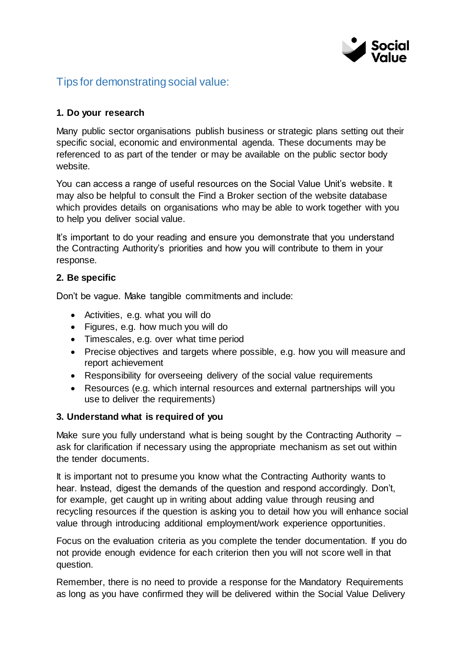

## Tips for demonstrating social value:

#### **1. Do your research**

Many public sector organisations publish business or strategic plans setting out their specific social, economic and environmental agenda. These documents may be referenced to as part of the tender or may be available on the public sector body website.

You can access a range of useful resources on the Social Value Unit's website. It may also be helpful to consult the Find a Broker section of the website database which provides details on organisations who may be able to work together with you to help you deliver social value.

It's important to do your reading and ensure you demonstrate that you understand the Contracting Authority's priorities and how you will contribute to them in your response.

#### **2. Be specific**

Don't be vague. Make tangible commitments and include:

- Activities, e.g. what you will do
- Figures, e.g. how much you will do
- Timescales, e.g. over what time period
- Precise objectives and targets where possible, e.g. how you will measure and report achievement
- Responsibility for overseeing delivery of the social value requirements
- Resources (e.g. which internal resources and external partnerships will you use to deliver the requirements)

#### **3. Understand what is required of you**

Make sure you fully understand what is being sought by the Contracting Authority – ask for clarification if necessary using the appropriate mechanism as set out within the tender documents.

It is important not to presume you know what the Contracting Authority wants to hear. Instead, digest the demands of the question and respond accordingly. Don't, for example, get caught up in writing about adding value through reusing and recycling resources if the question is asking you to detail how you will enhance social value through introducing additional employment/work experience opportunities.

Focus on the evaluation criteria as you complete the tender documentation. If you do not provide enough evidence for each criterion then you will not score well in that question.

Remember, there is no need to provide a response for the Mandatory Requirements as long as you have confirmed they will be delivered within the Social Value Delivery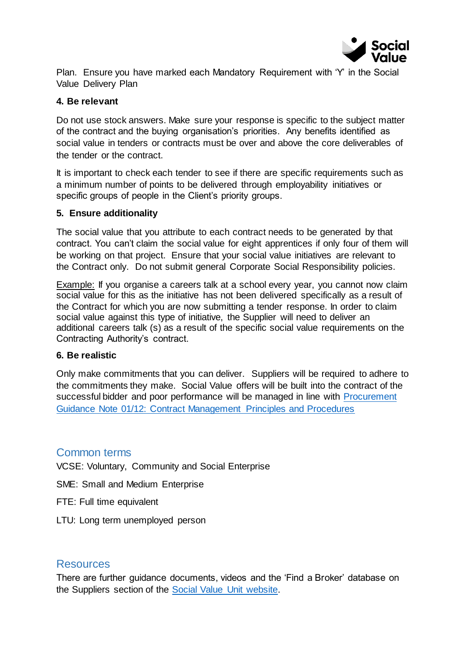

Plan. Ensure you have marked each Mandatory Requirement with 'Y' in the Social Value Delivery Plan

#### **4. Be relevant**

Do not use stock answers. Make sure your response is specific to the subject matter of the contract and the buying organisation's priorities. Any benefits identified as social value in tenders or contracts must be over and above the core deliverables of the tender or the contract.

It is important to check each tender to see if there are specific requirements such as a minimum number of points to be delivered through employability initiatives or specific groups of people in the Client's priority groups.

#### **5. Ensure additionality**

The social value that you attribute to each contract needs to be generated by that contract. You can't claim the social value for eight apprentices if only four of them will be working on that project. Ensure that your social value initiatives are relevant to the Contract only. Do not submit general Corporate Social Responsibility policies.

Example: If you organise a careers talk at a school every year, you cannot now claim social value for this as the initiative has not been delivered specifically as a result of the Contract for which you are now submitting a tender response. In order to claim social value against this type of initiative, the Supplier will need to deliver an additional careers talk (s) as a result of the specific social value requirements on the Contracting Authority's contract.

#### **6. Be realistic**

Only make commitments that you can deliver. Suppliers will be required to adhere to the commitments they make. Social Value offers will be built into the contract of the successful bidder and poor performance will be managed in line with [Procurement](https://www.finance-ni.gov.uk/publications/procurement-guidance-note-0112-contract-management-principles-and-procedures)  [Guidance Note 01/12: Contract Management](https://www.finance-ni.gov.uk/publications/procurement-guidance-note-0112-contract-management-principles-and-procedures) Principles and Procedures

#### Common terms

VCSE: Voluntary, Community and Social Enterprise

SME: Small and Medium Enterprise

- FTE: Full time equivalent
- LTU: Long term unemployed person

#### Resources

There are further guidance documents, videos and the 'Find a Broker' database on the Suppliers section of the [Social Value Unit website.](http://www.buysocialni.org/)